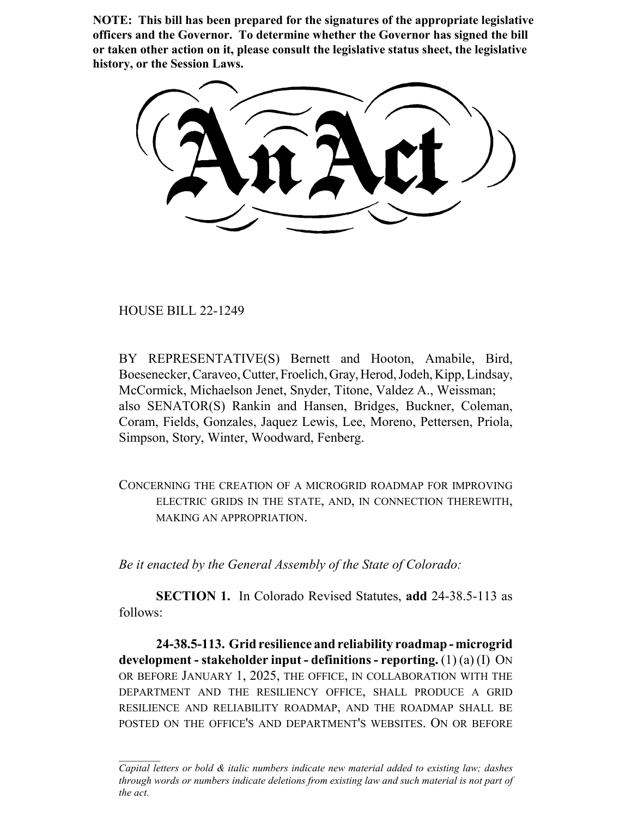**NOTE: This bill has been prepared for the signatures of the appropriate legislative officers and the Governor. To determine whether the Governor has signed the bill or taken other action on it, please consult the legislative status sheet, the legislative history, or the Session Laws.**

HOUSE BILL 22-1249

BY REPRESENTATIVE(S) Bernett and Hooton, Amabile, Bird, Boesenecker, Caraveo, Cutter, Froelich, Gray, Herod, Jodeh, Kipp, Lindsay, McCormick, Michaelson Jenet, Snyder, Titone, Valdez A., Weissman; also SENATOR(S) Rankin and Hansen, Bridges, Buckner, Coleman, Coram, Fields, Gonzales, Jaquez Lewis, Lee, Moreno, Pettersen, Priola, Simpson, Story, Winter, Woodward, Fenberg.

CONCERNING THE CREATION OF A MICROGRID ROADMAP FOR IMPROVING ELECTRIC GRIDS IN THE STATE, AND, IN CONNECTION THEREWITH, MAKING AN APPROPRIATION.

*Be it enacted by the General Assembly of the State of Colorado:*

**SECTION 1.** In Colorado Revised Statutes, **add** 24-38.5-113 as follows:

**24-38.5-113. Grid resilience and reliability roadmap - microgrid development - stakeholder input - definitions - reporting.** (1) (a) (I) ON OR BEFORE JANUARY 1, 2025, THE OFFICE, IN COLLABORATION WITH THE DEPARTMENT AND THE RESILIENCY OFFICE, SHALL PRODUCE A GRID RESILIENCE AND RELIABILITY ROADMAP, AND THE ROADMAP SHALL BE POSTED ON THE OFFICE'S AND DEPARTMENT'S WEBSITES. ON OR BEFORE

*Capital letters or bold & italic numbers indicate new material added to existing law; dashes through words or numbers indicate deletions from existing law and such material is not part of the act.*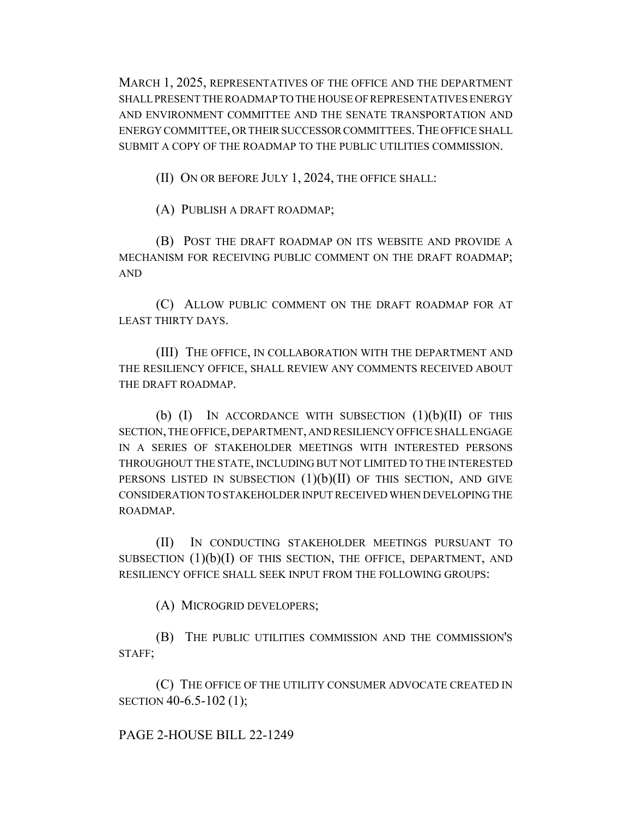MARCH 1, 2025, REPRESENTATIVES OF THE OFFICE AND THE DEPARTMENT SHALL PRESENT THE ROADMAP TO THE HOUSE OF REPRESENTATIVES ENERGY AND ENVIRONMENT COMMITTEE AND THE SENATE TRANSPORTATION AND ENERGY COMMITTEE, OR THEIR SUCCESSOR COMMITTEES.THE OFFICE SHALL SUBMIT A COPY OF THE ROADMAP TO THE PUBLIC UTILITIES COMMISSION.

(II) ON OR BEFORE JULY 1, 2024, THE OFFICE SHALL:

(A) PUBLISH A DRAFT ROADMAP;

(B) POST THE DRAFT ROADMAP ON ITS WEBSITE AND PROVIDE A MECHANISM FOR RECEIVING PUBLIC COMMENT ON THE DRAFT ROADMAP; AND

(C) ALLOW PUBLIC COMMENT ON THE DRAFT ROADMAP FOR AT LEAST THIRTY DAYS.

(III) THE OFFICE, IN COLLABORATION WITH THE DEPARTMENT AND THE RESILIENCY OFFICE, SHALL REVIEW ANY COMMENTS RECEIVED ABOUT THE DRAFT ROADMAP.

(b)  $(I)$  In accordance with subsection  $(1)(b)(II)$  of this SECTION, THE OFFICE, DEPARTMENT, AND RESILIENCY OFFICE SHALL ENGAGE IN A SERIES OF STAKEHOLDER MEETINGS WITH INTERESTED PERSONS THROUGHOUT THE STATE, INCLUDING BUT NOT LIMITED TO THE INTERESTED PERSONS LISTED IN SUBSECTION  $(1)(b)(II)$  of this section, and give CONSIDERATION TO STAKEHOLDER INPUT RECEIVED WHEN DEVELOPING THE ROADMAP.

(II) IN CONDUCTING STAKEHOLDER MEETINGS PURSUANT TO SUBSECTION  $(1)(b)(I)$  OF THIS SECTION, THE OFFICE, DEPARTMENT, AND RESILIENCY OFFICE SHALL SEEK INPUT FROM THE FOLLOWING GROUPS:

(A) MICROGRID DEVELOPERS;

(B) THE PUBLIC UTILITIES COMMISSION AND THE COMMISSION'S STAFF;

(C) THE OFFICE OF THE UTILITY CONSUMER ADVOCATE CREATED IN SECTION 40-6.5-102 (1);

## PAGE 2-HOUSE BILL 22-1249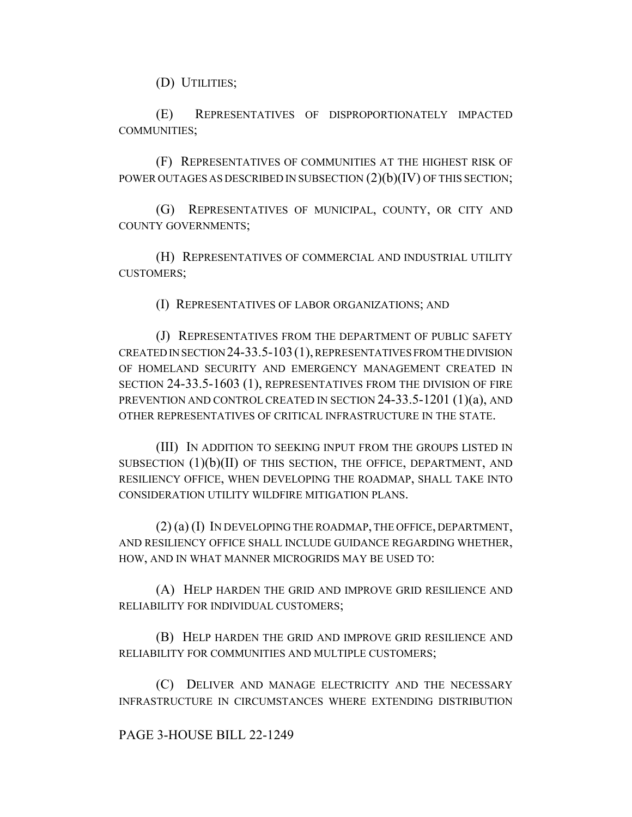(D) UTILITIES;

(E) REPRESENTATIVES OF DISPROPORTIONATELY IMPACTED COMMUNITIES;

(F) REPRESENTATIVES OF COMMUNITIES AT THE HIGHEST RISK OF POWER OUTAGES AS DESCRIBED IN SUBSECTION  $(2)(b)(IV)$  OF THIS SECTION;

(G) REPRESENTATIVES OF MUNICIPAL, COUNTY, OR CITY AND COUNTY GOVERNMENTS;

(H) REPRESENTATIVES OF COMMERCIAL AND INDUSTRIAL UTILITY CUSTOMERS;

(I) REPRESENTATIVES OF LABOR ORGANIZATIONS; AND

(J) REPRESENTATIVES FROM THE DEPARTMENT OF PUBLIC SAFETY CREATED IN SECTION 24-33.5-103(1), REPRESENTATIVES FROM THE DIVISION OF HOMELAND SECURITY AND EMERGENCY MANAGEMENT CREATED IN SECTION 24-33.5-1603 (1), REPRESENTATIVES FROM THE DIVISION OF FIRE PREVENTION AND CONTROL CREATED IN SECTION 24-33.5-1201 (1)(a), AND OTHER REPRESENTATIVES OF CRITICAL INFRASTRUCTURE IN THE STATE.

(III) IN ADDITION TO SEEKING INPUT FROM THE GROUPS LISTED IN SUBSECTION  $(1)(b)(II)$  OF THIS SECTION, THE OFFICE, DEPARTMENT, AND RESILIENCY OFFICE, WHEN DEVELOPING THE ROADMAP, SHALL TAKE INTO CONSIDERATION UTILITY WILDFIRE MITIGATION PLANS.

(2) (a) (I) IN DEVELOPING THE ROADMAP, THE OFFICE, DEPARTMENT, AND RESILIENCY OFFICE SHALL INCLUDE GUIDANCE REGARDING WHETHER, HOW, AND IN WHAT MANNER MICROGRIDS MAY BE USED TO:

(A) HELP HARDEN THE GRID AND IMPROVE GRID RESILIENCE AND RELIABILITY FOR INDIVIDUAL CUSTOMERS;

(B) HELP HARDEN THE GRID AND IMPROVE GRID RESILIENCE AND RELIABILITY FOR COMMUNITIES AND MULTIPLE CUSTOMERS;

(C) DELIVER AND MANAGE ELECTRICITY AND THE NECESSARY INFRASTRUCTURE IN CIRCUMSTANCES WHERE EXTENDING DISTRIBUTION

## PAGE 3-HOUSE BILL 22-1249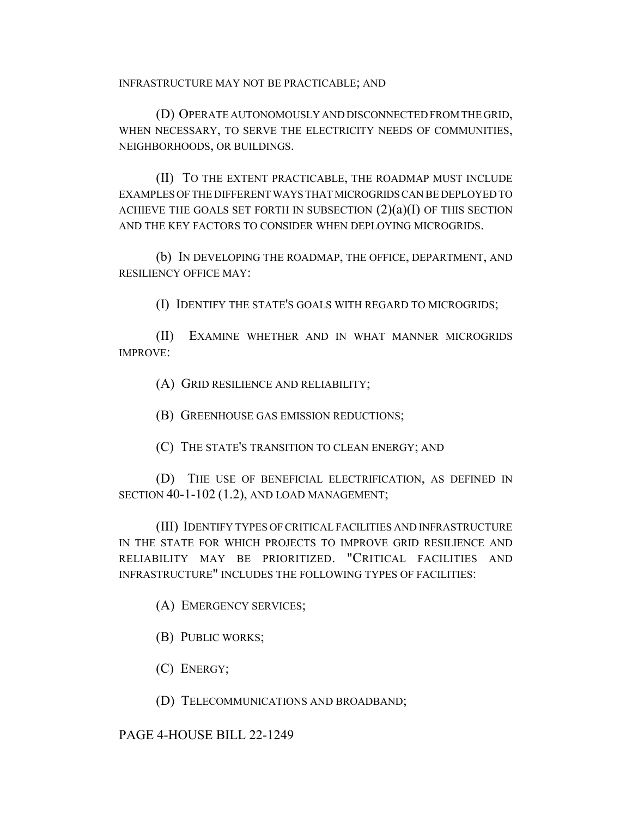INFRASTRUCTURE MAY NOT BE PRACTICABLE; AND

(D) OPERATE AUTONOMOUSLY AND DISCONNECTED FROM THE GRID, WHEN NECESSARY, TO SERVE THE ELECTRICITY NEEDS OF COMMUNITIES, NEIGHBORHOODS, OR BUILDINGS.

(II) TO THE EXTENT PRACTICABLE, THE ROADMAP MUST INCLUDE EXAMPLES OF THE DIFFERENT WAYS THAT MICROGRIDS CAN BE DEPLOYED TO ACHIEVE THE GOALS SET FORTH IN SUBSECTION  $(2)(a)(I)$  OF THIS SECTION AND THE KEY FACTORS TO CONSIDER WHEN DEPLOYING MICROGRIDS.

(b) IN DEVELOPING THE ROADMAP, THE OFFICE, DEPARTMENT, AND RESILIENCY OFFICE MAY:

(I) IDENTIFY THE STATE'S GOALS WITH REGARD TO MICROGRIDS;

(II) EXAMINE WHETHER AND IN WHAT MANNER MICROGRIDS IMPROVE:

(A) GRID RESILIENCE AND RELIABILITY;

(B) GREENHOUSE GAS EMISSION REDUCTIONS;

(C) THE STATE'S TRANSITION TO CLEAN ENERGY; AND

(D) THE USE OF BENEFICIAL ELECTRIFICATION, AS DEFINED IN SECTION 40-1-102 (1.2), AND LOAD MANAGEMENT;

(III) IDENTIFY TYPES OF CRITICAL FACILITIES AND INFRASTRUCTURE IN THE STATE FOR WHICH PROJECTS TO IMPROVE GRID RESILIENCE AND RELIABILITY MAY BE PRIORITIZED. "CRITICAL FACILITIES AND INFRASTRUCTURE" INCLUDES THE FOLLOWING TYPES OF FACILITIES:

(A) EMERGENCY SERVICES;

(B) PUBLIC WORKS;

(C) ENERGY;

(D) TELECOMMUNICATIONS AND BROADBAND;

PAGE 4-HOUSE BILL 22-1249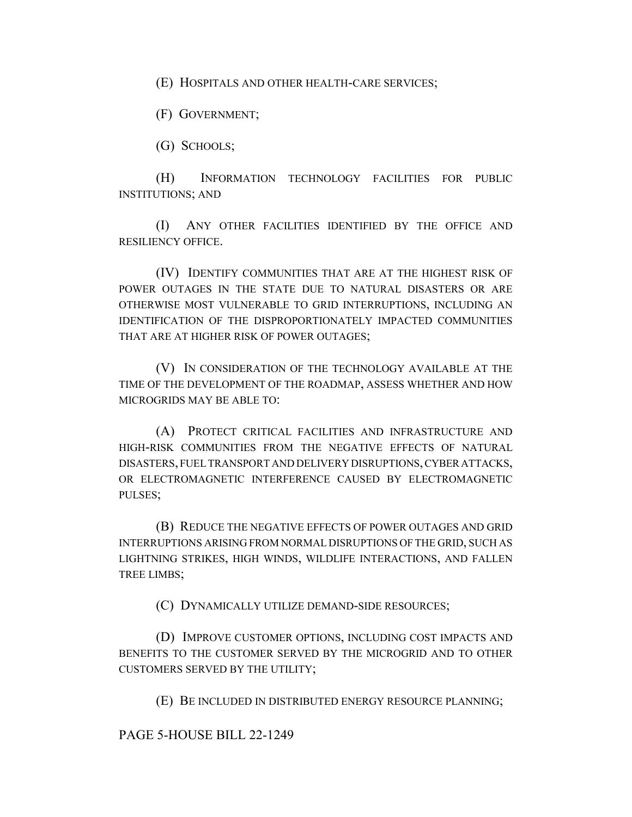(E) HOSPITALS AND OTHER HEALTH-CARE SERVICES;

(F) GOVERNMENT;

(G) SCHOOLS;

(H) INFORMATION TECHNOLOGY FACILITIES FOR PUBLIC INSTITUTIONS; AND

(I) ANY OTHER FACILITIES IDENTIFIED BY THE OFFICE AND RESILIENCY OFFICE.

(IV) IDENTIFY COMMUNITIES THAT ARE AT THE HIGHEST RISK OF POWER OUTAGES IN THE STATE DUE TO NATURAL DISASTERS OR ARE OTHERWISE MOST VULNERABLE TO GRID INTERRUPTIONS, INCLUDING AN IDENTIFICATION OF THE DISPROPORTIONATELY IMPACTED COMMUNITIES THAT ARE AT HIGHER RISK OF POWER OUTAGES;

(V) IN CONSIDERATION OF THE TECHNOLOGY AVAILABLE AT THE TIME OF THE DEVELOPMENT OF THE ROADMAP, ASSESS WHETHER AND HOW MICROGRIDS MAY BE ABLE TO:

(A) PROTECT CRITICAL FACILITIES AND INFRASTRUCTURE AND HIGH-RISK COMMUNITIES FROM THE NEGATIVE EFFECTS OF NATURAL DISASTERS, FUEL TRANSPORT AND DELIVERY DISRUPTIONS, CYBER ATTACKS, OR ELECTROMAGNETIC INTERFERENCE CAUSED BY ELECTROMAGNETIC PULSES;

(B) REDUCE THE NEGATIVE EFFECTS OF POWER OUTAGES AND GRID INTERRUPTIONS ARISING FROM NORMAL DISRUPTIONS OF THE GRID, SUCH AS LIGHTNING STRIKES, HIGH WINDS, WILDLIFE INTERACTIONS, AND FALLEN TREE LIMBS;

(C) DYNAMICALLY UTILIZE DEMAND-SIDE RESOURCES;

(D) IMPROVE CUSTOMER OPTIONS, INCLUDING COST IMPACTS AND BENEFITS TO THE CUSTOMER SERVED BY THE MICROGRID AND TO OTHER CUSTOMERS SERVED BY THE UTILITY;

(E) BE INCLUDED IN DISTRIBUTED ENERGY RESOURCE PLANNING;

PAGE 5-HOUSE BILL 22-1249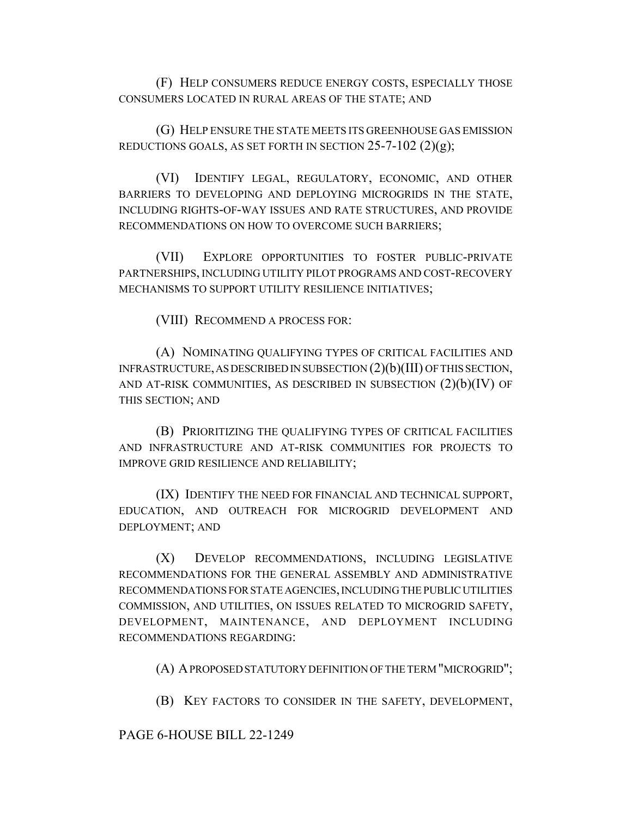(F) HELP CONSUMERS REDUCE ENERGY COSTS, ESPECIALLY THOSE CONSUMERS LOCATED IN RURAL AREAS OF THE STATE; AND

(G) HELP ENSURE THE STATE MEETS ITS GREENHOUSE GAS EMISSION REDUCTIONS GOALS, AS SET FORTH IN SECTION  $25-7-102$   $(2)(g)$ ;

(VI) IDENTIFY LEGAL, REGULATORY, ECONOMIC, AND OTHER BARRIERS TO DEVELOPING AND DEPLOYING MICROGRIDS IN THE STATE, INCLUDING RIGHTS-OF-WAY ISSUES AND RATE STRUCTURES, AND PROVIDE RECOMMENDATIONS ON HOW TO OVERCOME SUCH BARRIERS;

(VII) EXPLORE OPPORTUNITIES TO FOSTER PUBLIC-PRIVATE PARTNERSHIPS, INCLUDING UTILITY PILOT PROGRAMS AND COST-RECOVERY MECHANISMS TO SUPPORT UTILITY RESILIENCE INITIATIVES;

(VIII) RECOMMEND A PROCESS FOR:

(A) NOMINATING QUALIFYING TYPES OF CRITICAL FACILITIES AND INFRASTRUCTURE, AS DESCRIBED IN SUBSECTION (2)(b)(III) OF THIS SECTION, AND AT-RISK COMMUNITIES, AS DESCRIBED IN SUBSECTION  $(2)(b)(IV)$  OF THIS SECTION; AND

(B) PRIORITIZING THE QUALIFYING TYPES OF CRITICAL FACILITIES AND INFRASTRUCTURE AND AT-RISK COMMUNITIES FOR PROJECTS TO IMPROVE GRID RESILIENCE AND RELIABILITY;

(IX) IDENTIFY THE NEED FOR FINANCIAL AND TECHNICAL SUPPORT, EDUCATION, AND OUTREACH FOR MICROGRID DEVELOPMENT AND DEPLOYMENT; AND

(X) DEVELOP RECOMMENDATIONS, INCLUDING LEGISLATIVE RECOMMENDATIONS FOR THE GENERAL ASSEMBLY AND ADMINISTRATIVE RECOMMENDATIONS FOR STATE AGENCIES, INCLUDING THE PUBLIC UTILITIES COMMISSION, AND UTILITIES, ON ISSUES RELATED TO MICROGRID SAFETY, DEVELOPMENT, MAINTENANCE, AND DEPLOYMENT INCLUDING RECOMMENDATIONS REGARDING:

(A) A PROPOSED STATUTORY DEFINITION OF THE TERM "MICROGRID";

(B) KEY FACTORS TO CONSIDER IN THE SAFETY, DEVELOPMENT,

## PAGE 6-HOUSE BILL 22-1249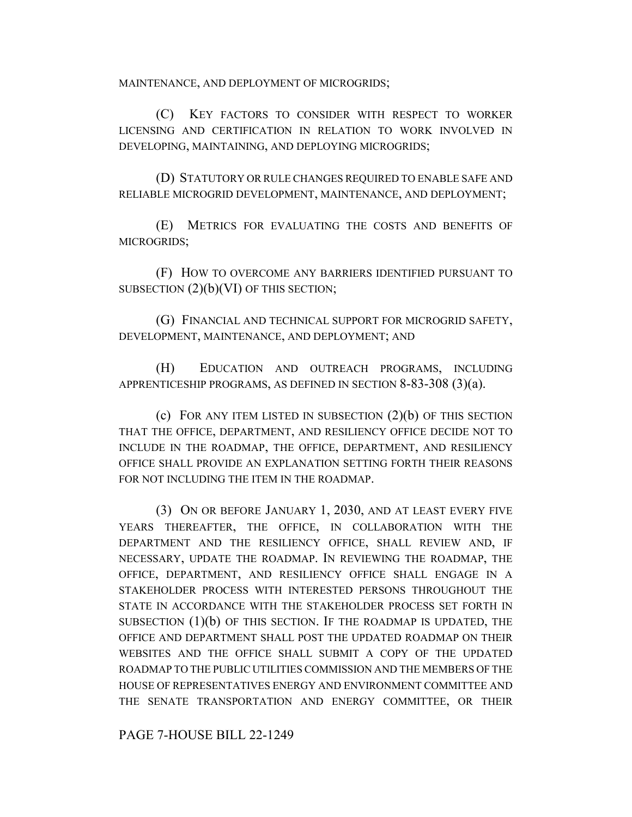MAINTENANCE, AND DEPLOYMENT OF MICROGRIDS;

(C) KEY FACTORS TO CONSIDER WITH RESPECT TO WORKER LICENSING AND CERTIFICATION IN RELATION TO WORK INVOLVED IN DEVELOPING, MAINTAINING, AND DEPLOYING MICROGRIDS;

(D) STATUTORY OR RULE CHANGES REQUIRED TO ENABLE SAFE AND RELIABLE MICROGRID DEVELOPMENT, MAINTENANCE, AND DEPLOYMENT;

(E) METRICS FOR EVALUATING THE COSTS AND BENEFITS OF MICROGRIDS;

(F) HOW TO OVERCOME ANY BARRIERS IDENTIFIED PURSUANT TO SUBSECTION (2)(b)(VI) OF THIS SECTION;

(G) FINANCIAL AND TECHNICAL SUPPORT FOR MICROGRID SAFETY, DEVELOPMENT, MAINTENANCE, AND DEPLOYMENT; AND

(H) EDUCATION AND OUTREACH PROGRAMS, INCLUDING APPRENTICESHIP PROGRAMS, AS DEFINED IN SECTION 8-83-308 (3)(a).

(c) FOR ANY ITEM LISTED IN SUBSECTION (2)(b) OF THIS SECTION THAT THE OFFICE, DEPARTMENT, AND RESILIENCY OFFICE DECIDE NOT TO INCLUDE IN THE ROADMAP, THE OFFICE, DEPARTMENT, AND RESILIENCY OFFICE SHALL PROVIDE AN EXPLANATION SETTING FORTH THEIR REASONS FOR NOT INCLUDING THE ITEM IN THE ROADMAP.

(3) ON OR BEFORE JANUARY 1, 2030, AND AT LEAST EVERY FIVE YEARS THEREAFTER, THE OFFICE, IN COLLABORATION WITH THE DEPARTMENT AND THE RESILIENCY OFFICE, SHALL REVIEW AND, IF NECESSARY, UPDATE THE ROADMAP. IN REVIEWING THE ROADMAP, THE OFFICE, DEPARTMENT, AND RESILIENCY OFFICE SHALL ENGAGE IN A STAKEHOLDER PROCESS WITH INTERESTED PERSONS THROUGHOUT THE STATE IN ACCORDANCE WITH THE STAKEHOLDER PROCESS SET FORTH IN SUBSECTION  $(1)(b)$  OF THIS SECTION. IF THE ROADMAP IS UPDATED, THE OFFICE AND DEPARTMENT SHALL POST THE UPDATED ROADMAP ON THEIR WEBSITES AND THE OFFICE SHALL SUBMIT A COPY OF THE UPDATED ROADMAP TO THE PUBLIC UTILITIES COMMISSION AND THE MEMBERS OF THE HOUSE OF REPRESENTATIVES ENERGY AND ENVIRONMENT COMMITTEE AND THE SENATE TRANSPORTATION AND ENERGY COMMITTEE, OR THEIR

PAGE 7-HOUSE BILL 22-1249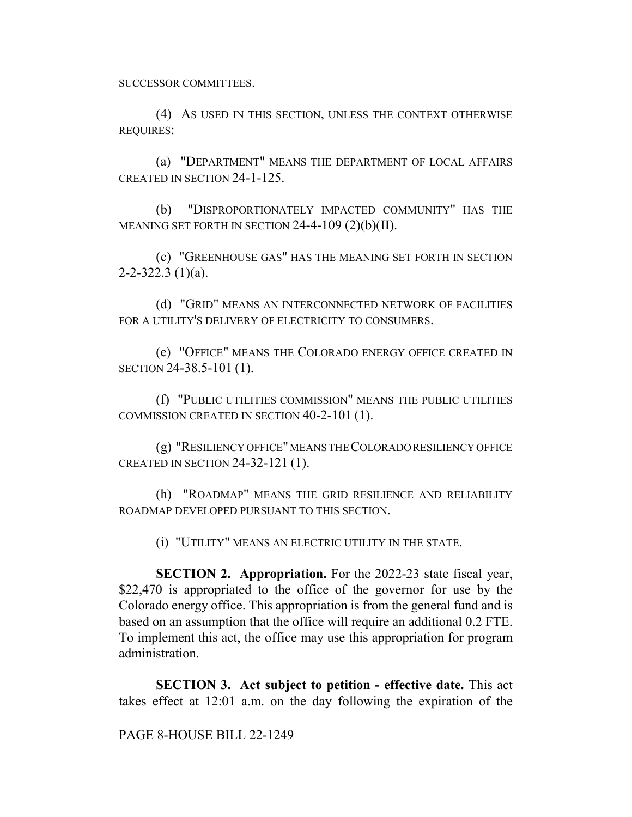SUCCESSOR COMMITTEES.

(4) AS USED IN THIS SECTION, UNLESS THE CONTEXT OTHERWISE REQUIRES:

(a) "DEPARTMENT" MEANS THE DEPARTMENT OF LOCAL AFFAIRS CREATED IN SECTION 24-1-125.

(b) "DISPROPORTIONATELY IMPACTED COMMUNITY" HAS THE MEANING SET FORTH IN SECTION  $24-4-109$   $(2)(b)(II)$ .

(c) "GREENHOUSE GAS" HAS THE MEANING SET FORTH IN SECTION  $2 - 2 - 322.3$  (1)(a).

(d) "GRID" MEANS AN INTERCONNECTED NETWORK OF FACILITIES FOR A UTILITY'S DELIVERY OF ELECTRICITY TO CONSUMERS.

(e) "OFFICE" MEANS THE COLORADO ENERGY OFFICE CREATED IN SECTION 24-38.5-101 (1).

(f) "PUBLIC UTILITIES COMMISSION" MEANS THE PUBLIC UTILITIES COMMISSION CREATED IN SECTION 40-2-101 (1).

(g) "RESILIENCY OFFICE" MEANS THE COLORADO RESILIENCY OFFICE CREATED IN SECTION 24-32-121 (1).

(h) "ROADMAP" MEANS THE GRID RESILIENCE AND RELIABILITY ROADMAP DEVELOPED PURSUANT TO THIS SECTION.

(i) "UTILITY" MEANS AN ELECTRIC UTILITY IN THE STATE.

**SECTION 2. Appropriation.** For the 2022-23 state fiscal year, \$22,470 is appropriated to the office of the governor for use by the Colorado energy office. This appropriation is from the general fund and is based on an assumption that the office will require an additional 0.2 FTE. To implement this act, the office may use this appropriation for program administration.

**SECTION 3. Act subject to petition - effective date.** This act takes effect at 12:01 a.m. on the day following the expiration of the

PAGE 8-HOUSE BILL 22-1249